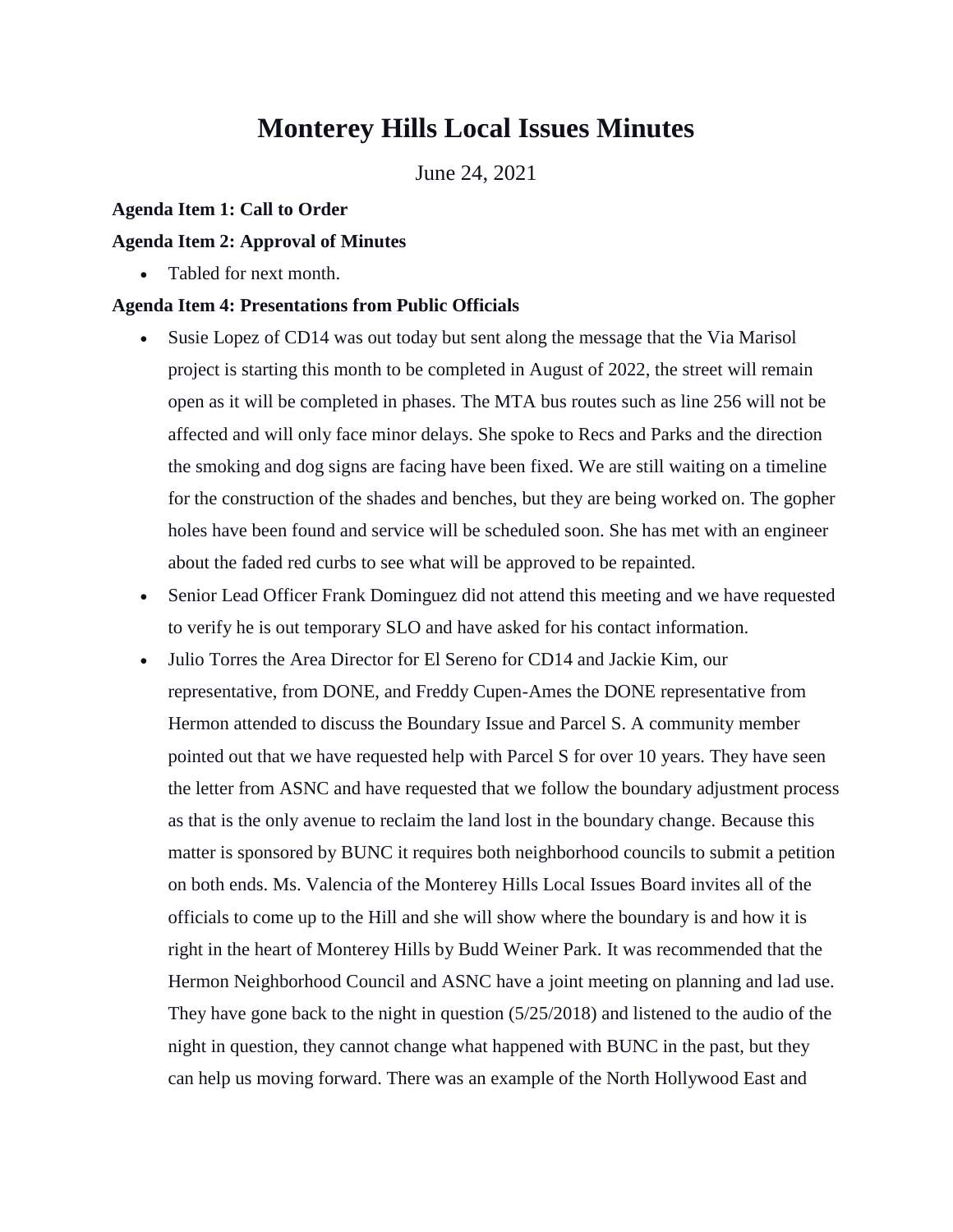# **Monterey Hills Local Issues Minutes**

June 24, 2021

# **Agenda Item 1: Call to Order**

## **Agenda Item 2: Approval of Minutes**

• Tabled for next month.

## **Agenda Item 4: Presentations from Public Officials**

- Susie Lopez of CD14 was out today but sent along the message that the Via Marisol project is starting this month to be completed in August of 2022, the street will remain open as it will be completed in phases. The MTA bus routes such as line 256 will not be affected and will only face minor delays. She spoke to Recs and Parks and the direction the smoking and dog signs are facing have been fixed. We are still waiting on a timeline for the construction of the shades and benches, but they are being worked on. The gopher holes have been found and service will be scheduled soon. She has met with an engineer about the faded red curbs to see what will be approved to be repainted.
- Senior Lead Officer Frank Dominguez did not attend this meeting and we have requested to verify he is out temporary SLO and have asked for his contact information.
- Julio Torres the Area Director for El Sereno for CD14 and Jackie Kim, our representative, from DONE, and Freddy Cupen-Ames the DONE representative from Hermon attended to discuss the Boundary Issue and Parcel S. A community member pointed out that we have requested help with Parcel S for over 10 years. They have seen the letter from ASNC and have requested that we follow the boundary adjustment process as that is the only avenue to reclaim the land lost in the boundary change. Because this matter is sponsored by BUNC it requires both neighborhood councils to submit a petition on both ends. Ms. Valencia of the Monterey Hills Local Issues Board invites all of the officials to come up to the Hill and she will show where the boundary is and how it is right in the heart of Monterey Hills by Budd Weiner Park. It was recommended that the Hermon Neighborhood Council and ASNC have a joint meeting on planning and lad use. They have gone back to the night in question (5/25/2018) and listened to the audio of the night in question, they cannot change what happened with BUNC in the past, but they can help us moving forward. There was an example of the North Hollywood East and